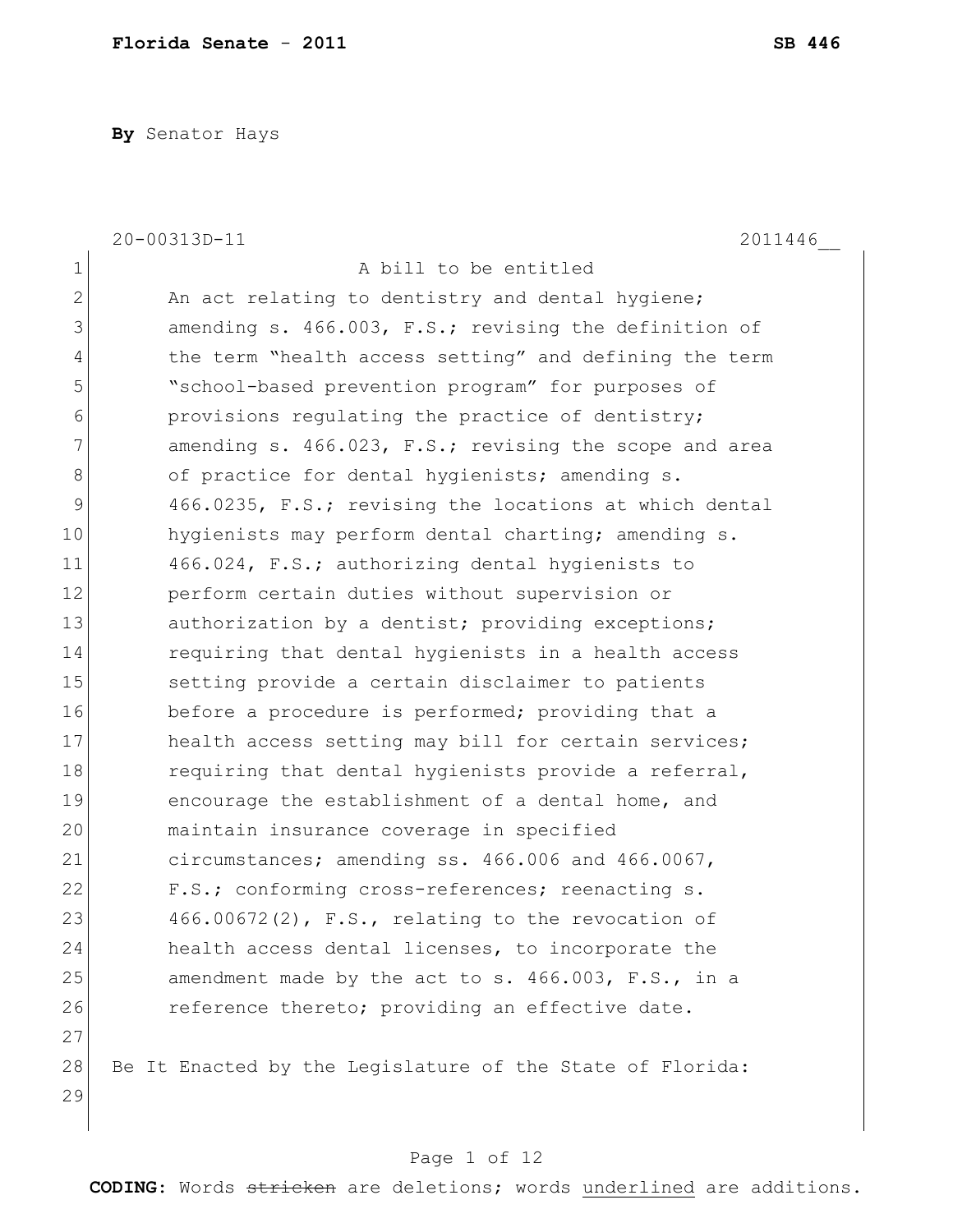**By** Senator Hays

|              | 20-00313D-11<br>2011446                                   |
|--------------|-----------------------------------------------------------|
| $\mathbf 1$  | A bill to be entitled                                     |
| $\mathbf{2}$ | An act relating to dentistry and dental hygiene;          |
| 3            | amending s. 466.003, F.S.; revising the definition of     |
| 4            | the term "health access setting" and defining the term    |
| 5            | "school-based prevention program" for purposes of         |
| 6            | provisions regulating the practice of dentistry;          |
| 7            | amending s. 466.023, F.S.; revising the scope and area    |
| 8            | of practice for dental hygienists; amending s.            |
| 9            | 466.0235, F.S.; revising the locations at which dental    |
| 10           | hygienists may perform dental charting; amending s.       |
| 11           | 466.024, F.S.; authorizing dental hygienists to           |
| 12           | perform certain duties without supervision or             |
| 13           | authorization by a dentist; providing exceptions;         |
| 14           | requiring that dental hygienists in a health access       |
| 15           | setting provide a certain disclaimer to patients          |
| 16           | before a procedure is performed; providing that a         |
| 17           | health access setting may bill for certain services;      |
| 18           | requiring that dental hygienists provide a referral,      |
| 19           | encourage the establishment of a dental home, and         |
| 20           | maintain insurance coverage in specified                  |
| 21           | circumstances; amending ss. 466.006 and 466.0067,         |
| 22           | F.S.; conforming cross-references; reenacting s.          |
| 23           | $466.00672(2)$ , F.S., relating to the revocation of      |
| 24           | health access dental licenses, to incorporate the         |
| 25           | amendment made by the act to s. 466.003, F.S., in a       |
| 26           | reference thereto; providing an effective date.           |
| 27           |                                                           |
| 28           | Be It Enacted by the Legislature of the State of Florida: |
| 29           |                                                           |
|              |                                                           |

# Page 1 of 12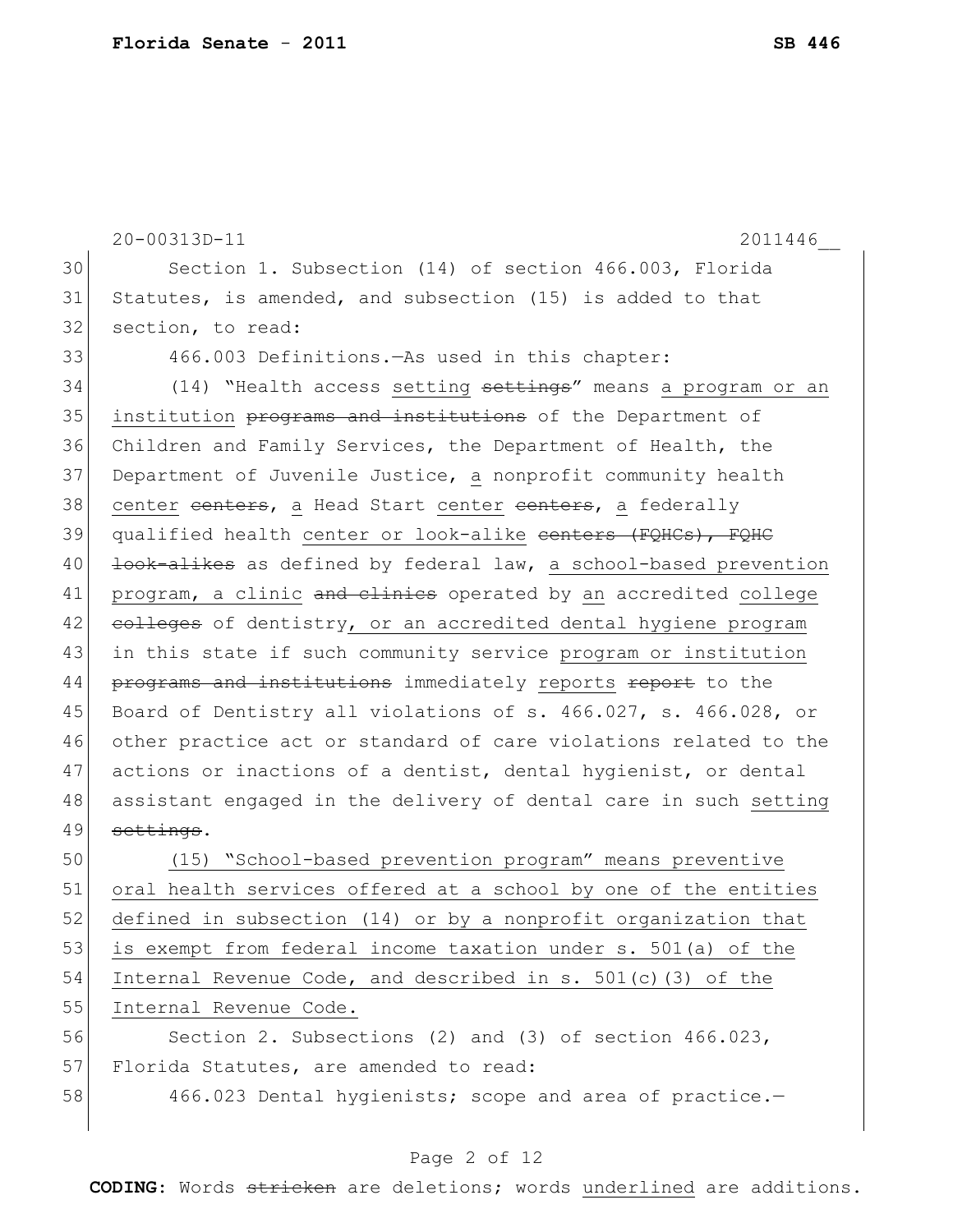|    | 20-00313D-11<br>2011446                                          |
|----|------------------------------------------------------------------|
|    |                                                                  |
| 30 | Section 1. Subsection (14) of section 466.003, Florida           |
| 31 | Statutes, is amended, and subsection (15) is added to that       |
| 32 | section, to read:                                                |
| 33 | 466.003 Definitions. As used in this chapter:                    |
| 34 | (14) "Health access setting settings" means a program or an      |
| 35 | institution programs and institutions of the Department of       |
| 36 | Children and Family Services, the Department of Health, the      |
| 37 | Department of Juvenile Justice, a nonprofit community health     |
| 38 | center centers, a Head Start center centers, a federally         |
| 39 | qualified health center or look-alike centers (FQHCs), FQHC      |
| 40 | look-alikes as defined by federal law, a school-based prevention |
| 41 | program, a clinic and elinies operated by an accredited college  |
| 42 | eolleges of dentistry, or an accredited dental hygiene program   |
| 43 | in this state if such community service program or institution   |
| 44 | programs and institutions immediately reports report to the      |
| 45 | Board of Dentistry all violations of s. 466.027, s. 466.028, or  |
| 46 | other practice act or standard of care violations related to the |
| 47 | actions or inactions of a dentist, dental hygienist, or dental   |
| 48 | assistant engaged in the delivery of dental care in such setting |
| 49 | settings.                                                        |
| 50 | (15) "School-based prevention program" means preventive          |
| 51 | oral health services offered at a school by one of the entities  |
| 52 | defined in subsection (14) or by a nonprofit organization that   |
| 53 | is exempt from federal income taxation under s. 501(a) of the    |
| 54 | Internal Revenue Code, and described in s. $501(c)$ (3) of the   |

56 Section 2. Subsections (2) and (3) of section 466.023, 57 Florida Statutes, are amended to read:

55 Internal Revenue Code.

58 466.023 Dental hygienists; scope and area of practice.-

#### Page 2 of 12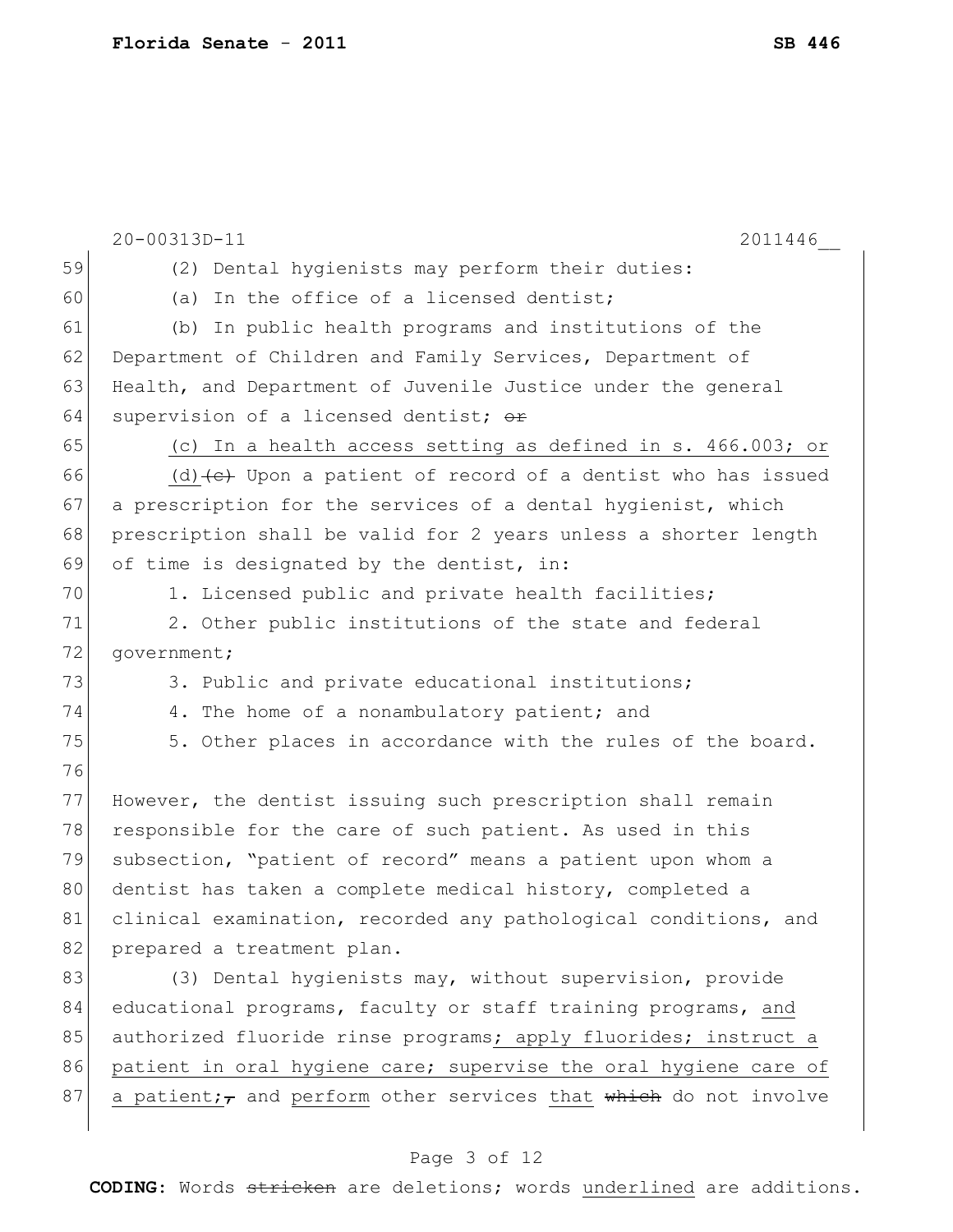|    | 20-00313D-11<br>2011446                                                        |
|----|--------------------------------------------------------------------------------|
| 59 | (2) Dental hygienists may perform their duties:                                |
| 60 | (a) In the office of a licensed dentist;                                       |
| 61 | (b) In public health programs and institutions of the                          |
| 62 | Department of Children and Family Services, Department of                      |
| 63 | Health, and Department of Juvenile Justice under the general                   |
| 64 | supervision of a licensed dentist; or                                          |
| 65 | (c) In a health access setting as defined in s. 466.003; or                    |
| 66 | (d) $\left\{\n e\right\}$ Upon a patient of record of a dentist who has issued |
| 67 | a prescription for the services of a dental hygienist, which                   |
| 68 | prescription shall be valid for 2 years unless a shorter length                |
| 69 | of time is designated by the dentist, in:                                      |
| 70 | 1. Licensed public and private health facilities;                              |
| 71 | 2. Other public institutions of the state and federal                          |
| 72 | government;                                                                    |
| 73 | 3. Public and private educational institutions;                                |
| 74 | 4. The home of a nonambulatory patient; and                                    |
| 75 | 5. Other places in accordance with the rules of the board.                     |
| 76 |                                                                                |
| 77 | However, the dentist issuing such prescription shall remain                    |
| 78 | responsible for the care of such patient. As used in this                      |
| 79 | subsection, "patient of record" means a patient upon whom a                    |
| 80 | dentist has taken a complete medical history, completed a                      |
| 81 | clinical examination, recorded any pathological conditions, and                |
| 82 | prepared a treatment plan.                                                     |
| 83 | (3) Dental hygienists may, without supervision, provide                        |
| 84 | educational programs, faculty or staff training programs, and                  |
| 85 | authorized fluoride rinse programs; apply fluorides; instruct a                |
| 86 | patient in oral hygiene care; supervise the oral hygiene care of               |
| 87 | a patient; $\tau$ and perform other services that which do not involve         |
|    |                                                                                |

## Page 3 of 12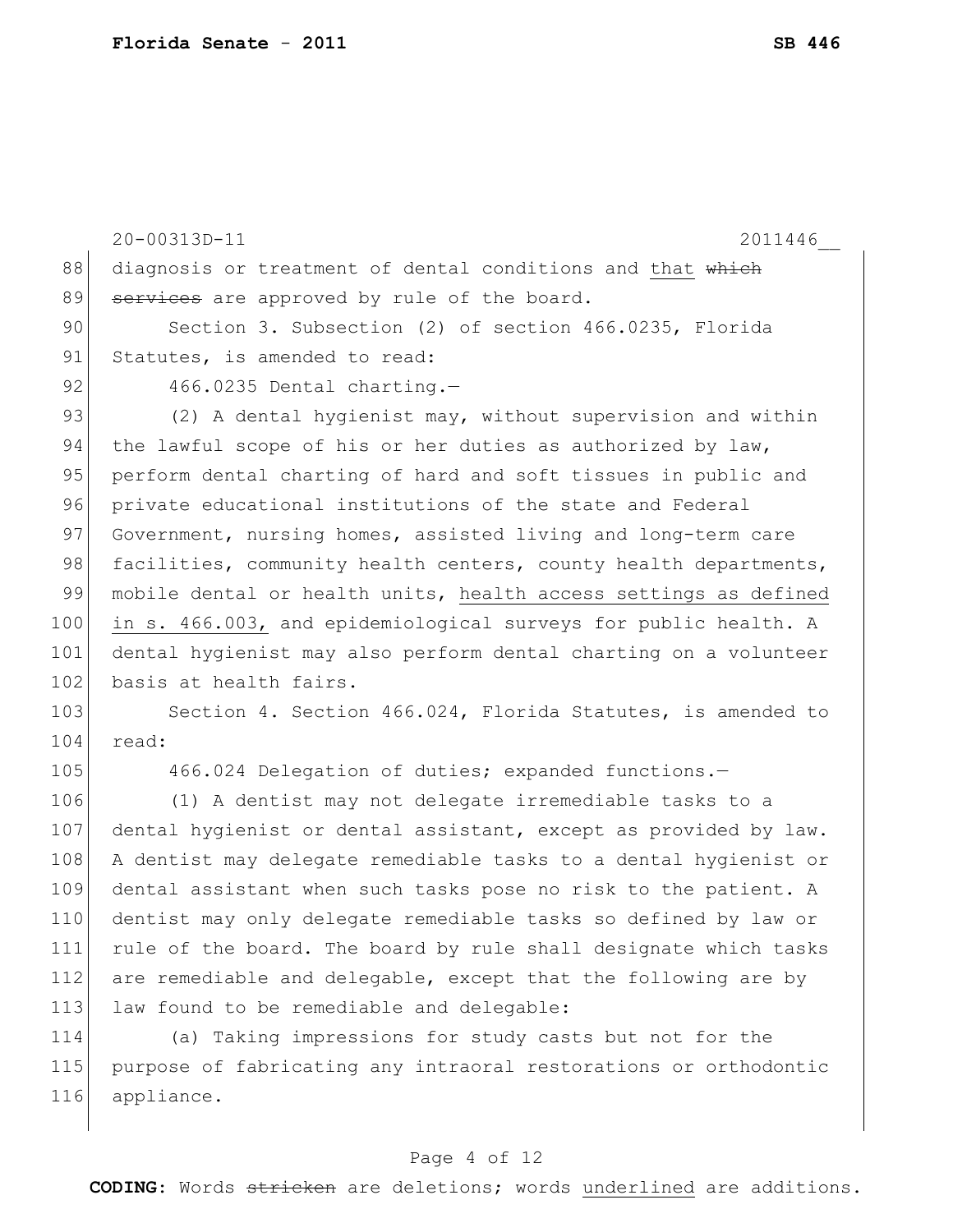|     | 20-00313D-11<br>2011446                                          |
|-----|------------------------------------------------------------------|
| 88  | diagnosis or treatment of dental conditions and that which       |
| 89  | services are approved by rule of the board.                      |
| 90  | Section 3. Subsection (2) of section 466.0235, Florida           |
| 91  | Statutes, is amended to read:                                    |
| 92  | 466.0235 Dental charting.-                                       |
| 93  | (2) A dental hygienist may, without supervision and within       |
| 94  | the lawful scope of his or her duties as authorized by law,      |
| 95  | perform dental charting of hard and soft tissues in public and   |
| 96  | private educational institutions of the state and Federal        |
| 97  | Government, nursing homes, assisted living and long-term care    |
| 98  | facilities, community health centers, county health departments, |
| 99  | mobile dental or health units, health access settings as defined |
| 100 | in s. 466.003, and epidemiological surveys for public health. A  |
| 101 | dental hygienist may also perform dental charting on a volunteer |
| 102 | basis at health fairs.                                           |
| 103 | Section 4. Section 466.024, Florida Statutes, is amended to      |
| 104 | read:                                                            |
| 105 | 466.024 Delegation of duties; expanded functions.-               |
| 106 | (1) A dentist may not delegate irremediable tasks to a           |
| 107 | dental hygienist or dental assistant, except as provided by law. |
| 108 | A dentist may delegate remediable tasks to a dental hygienist or |
| 109 | dental assistant when such tasks pose no risk to the patient. A  |
| 110 | dentist may only delegate remediable tasks so defined by law or  |
| 111 | rule of the board. The board by rule shall designate which tasks |
| 112 | are remediable and delegable, except that the following are by   |
| 113 | law found to be remediable and delegable:                        |
| 114 | (a) Taking impressions for study casts but not for the           |

115 purpose of fabricating any intraoral restorations or orthodontic 116 appliance.

#### Page 4 of 12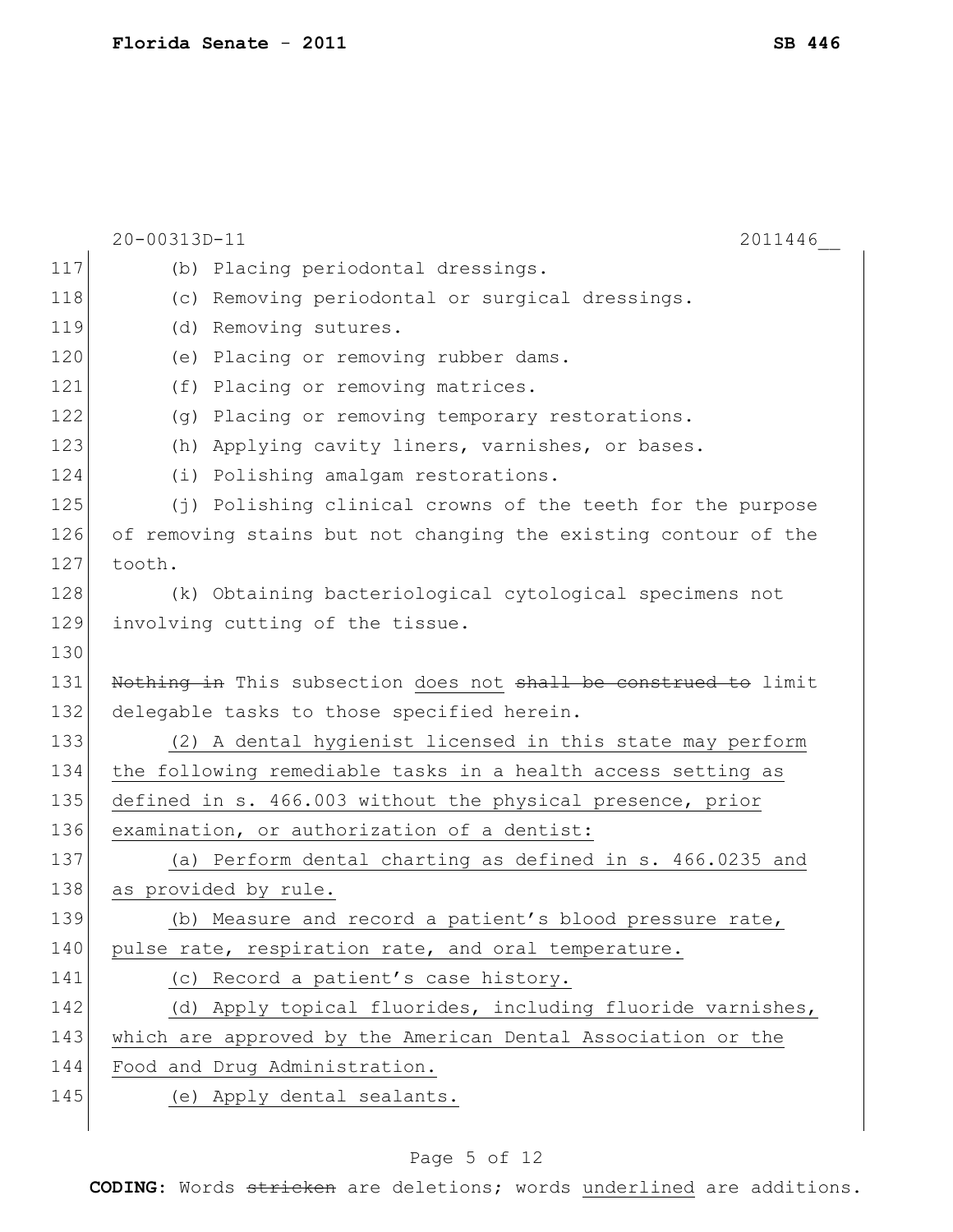|     | 20-00313D-11<br>2011446                                         |
|-----|-----------------------------------------------------------------|
| 117 | (b) Placing periodontal dressings.                              |
| 118 | (c) Removing periodontal or surgical dressings.                 |
| 119 | (d) Removing sutures.                                           |
| 120 | (e) Placing or removing rubber dams.                            |
| 121 | (f) Placing or removing matrices.                               |
| 122 | (g) Placing or removing temporary restorations.                 |
| 123 | (h) Applying cavity liners, varnishes, or bases.                |
| 124 | (i) Polishing amalgam restorations.                             |
| 125 | (j) Polishing clinical crowns of the teeth for the purpose      |
| 126 | of removing stains but not changing the existing contour of the |
| 127 | tooth.                                                          |
| 128 | (k) Obtaining bacteriological cytological specimens not         |
| 129 | involving cutting of the tissue.                                |
| 130 |                                                                 |
| 131 | Nothing in This subsection does not shall be construed to limit |
| 132 | delegable tasks to those specified herein.                      |
| 133 | (2) A dental hygienist licensed in this state may perform       |
| 134 | the following remediable tasks in a health access setting as    |
| 135 | defined in s. 466.003 without the physical presence, prior      |
| 136 | examination, or authorization of a dentist:                     |
| 137 | (a) Perform dental charting as defined in s. 466.0235 and       |
| 138 | as provided by rule.                                            |
| 139 | (b) Measure and record a patient's blood pressure rate,         |
| 140 | pulse rate, respiration rate, and oral temperature.             |
| 141 | (c) Record a patient's case history.                            |
| 142 | (d) Apply topical fluorides, including fluoride varnishes,      |
| 143 | which are approved by the American Dental Association or the    |
| 144 | Food and Drug Administration.                                   |
| 145 | (e) Apply dental sealants.                                      |
|     |                                                                 |

## Page 5 of 12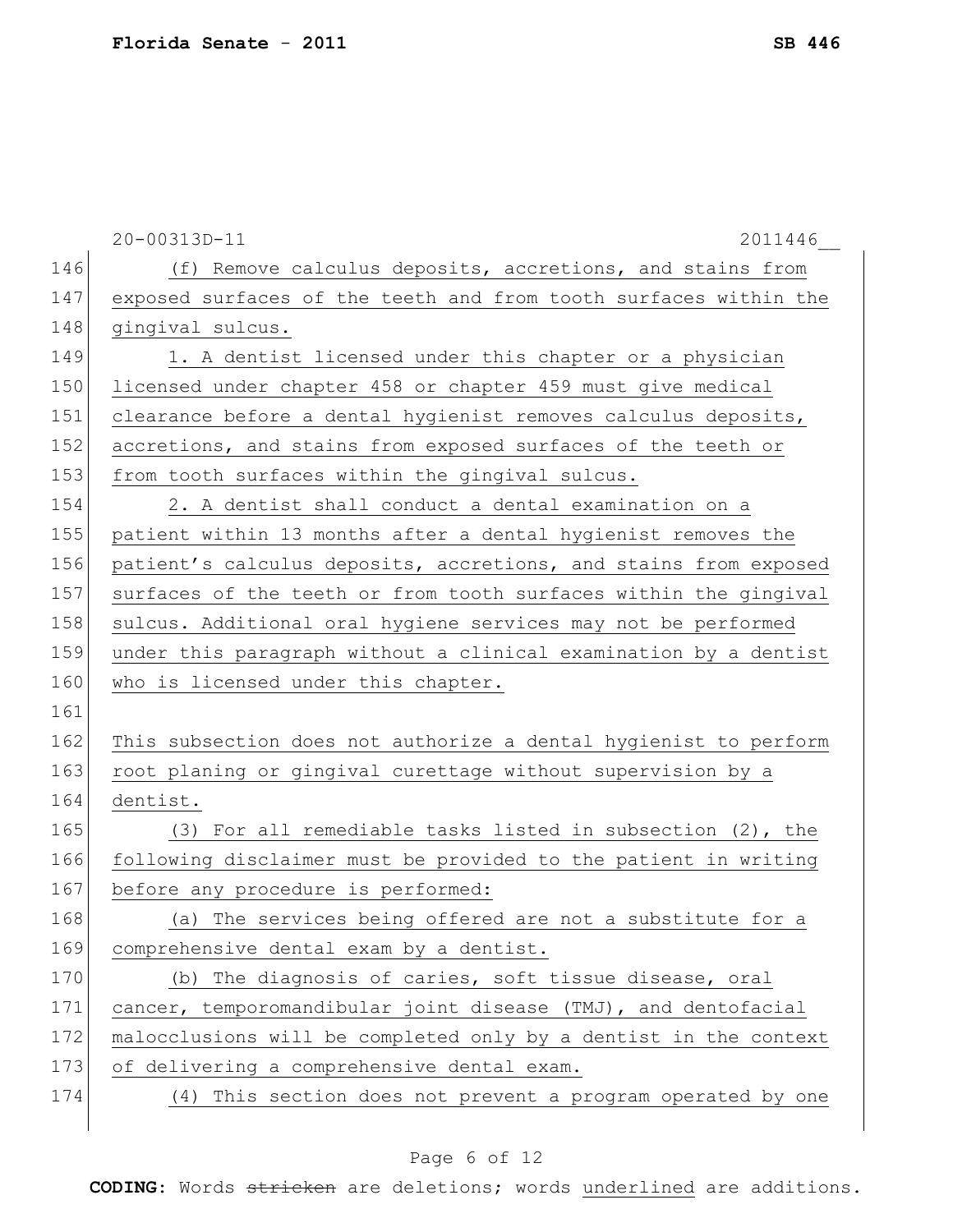|     | 20-00313D-11<br>2011446                                          |
|-----|------------------------------------------------------------------|
| 146 | (f) Remove calculus deposits, accretions, and stains from        |
| 147 | exposed surfaces of the teeth and from tooth surfaces within the |
| 148 | gingival sulcus.                                                 |
| 149 | 1. A dentist licensed under this chapter or a physician          |
| 150 | licensed under chapter 458 or chapter 459 must give medical      |
| 151 | clearance before a dental hygienist removes calculus deposits,   |
| 152 | accretions, and stains from exposed surfaces of the teeth or     |
| 153 | from tooth surfaces within the gingival sulcus.                  |
| 154 | 2. A dentist shall conduct a dental examination on a             |
| 155 | patient within 13 months after a dental hygienist removes the    |
| 156 | patient's calculus deposits, accretions, and stains from exposed |
| 157 | surfaces of the teeth or from tooth surfaces within the gingival |
| 158 | sulcus. Additional oral hygiene services may not be performed    |
| 159 | under this paragraph without a clinical examination by a dentist |
| 160 | who is licensed under this chapter.                              |
| 161 |                                                                  |
| 162 | This subsection does not authorize a dental hygienist to perform |
| 163 | root planing or gingival curettage without supervision by a      |
| 164 | dentist.                                                         |
| 165 | (3) For all remediable tasks listed in subsection $(2)$ , the    |
| 166 | following disclaimer must be provided to the patient in writing  |
| 167 | before any procedure is performed:                               |
| 168 | (a) The services being offered are not a substitute for a        |
| 169 | comprehensive dental exam by a dentist.                          |
| 170 | (b) The diagnosis of caries, soft tissue disease, oral           |
| 171 | cancer, temporomandibular joint disease (TMJ), and dentofacial   |
| 172 | malocclusions will be completed only by a dentist in the context |
| 173 | of delivering a comprehensive dental exam.                       |
| 174 | (4) This section does not prevent a program operated by one      |
|     |                                                                  |

## Page 6 of 12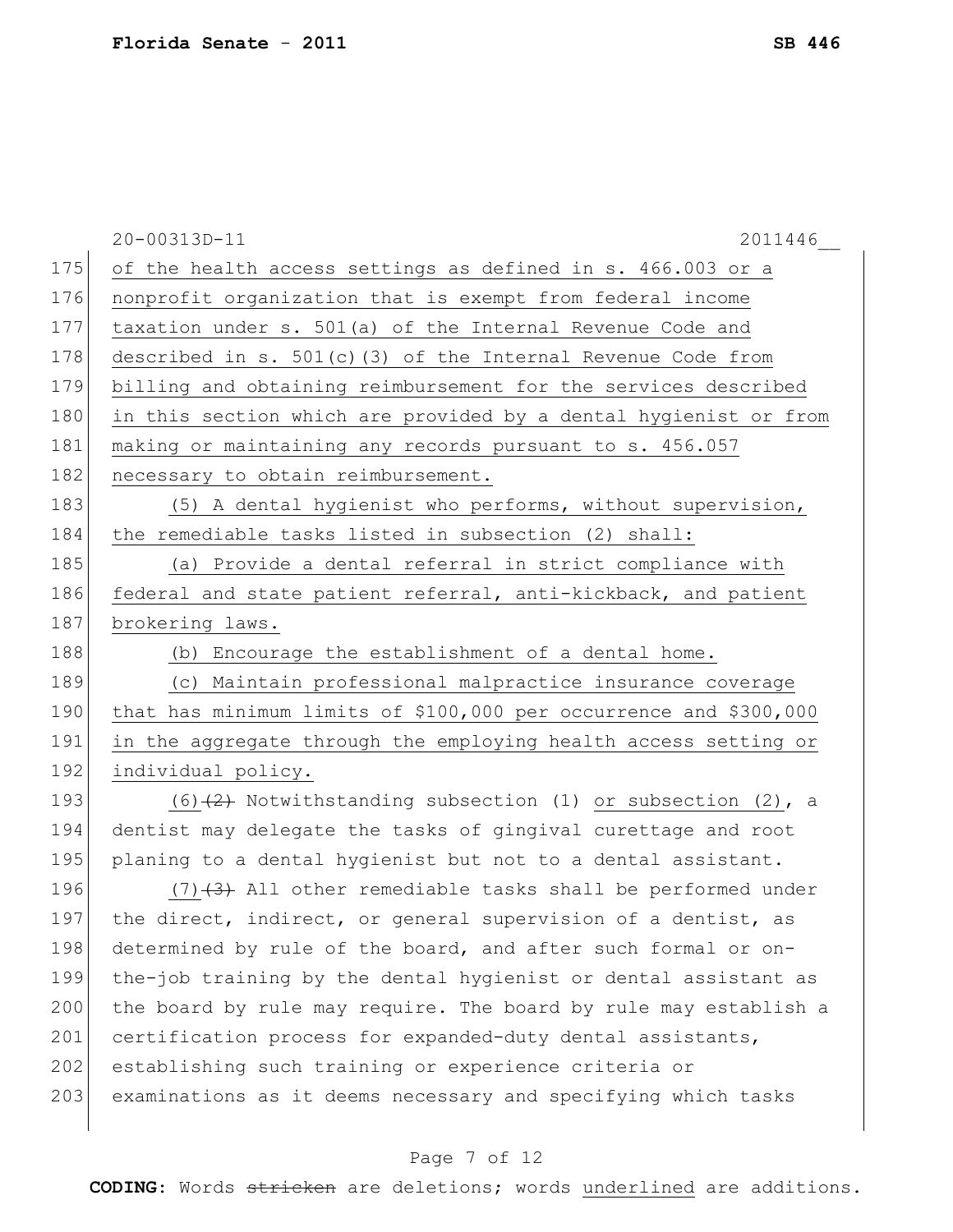|     | 20-00313D-11<br>2011446                                           |
|-----|-------------------------------------------------------------------|
| 175 | of the health access settings as defined in s. 466.003 or a       |
| 176 | nonprofit organization that is exempt from federal income         |
| 177 | taxation under s. 501(a) of the Internal Revenue Code and         |
| 178 | described in $s. 501(c)$ (3) of the Internal Revenue Code from    |
| 179 | billing and obtaining reimbursement for the services described    |
| 180 | in this section which are provided by a dental hygienist or from  |
| 181 | making or maintaining any records pursuant to s. 456.057          |
| 182 | necessary to obtain reimbursement.                                |
| 183 | (5) A dental hygienist who performs, without supervision,         |
| 184 | the remediable tasks listed in subsection (2) shall:              |
| 185 | (a) Provide a dental referral in strict compliance with           |
| 186 | federal and state patient referral, anti-kickback, and patient    |
| 187 | brokering laws.                                                   |
| 188 | (b) Encourage the establishment of a dental home.                 |
| 189 | (c) Maintain professional malpractice insurance coverage          |
| 190 | that has minimum limits of \$100,000 per occurrence and \$300,000 |
| 191 | in the aggregate through the employing health access setting or   |
| 192 | individual policy.                                                |
| 193 | $(6)$ $(2)$ Notwithstanding subsection (1) or subsection (2), a   |
| 194 | dentist may delegate the tasks of gingival curettage and root     |
| 195 | planing to a dental hygienist but not to a dental assistant.      |
| 196 | $(7)$ $(3)$ All other remediable tasks shall be performed under   |
| 197 | the direct, indirect, or general supervision of a dentist, as     |
| 198 | determined by rule of the board, and after such formal or on-     |
| 199 | the-job training by the dental hygienist or dental assistant as   |
| 200 | the board by rule may require. The board by rule may establish a  |
| 201 | certification process for expanded-duty dental assistants,        |
| 202 | establishing such training or experience criteria or              |
| 203 | examinations as it deems necessary and specifying which tasks     |
|     |                                                                   |

## Page 7 of 12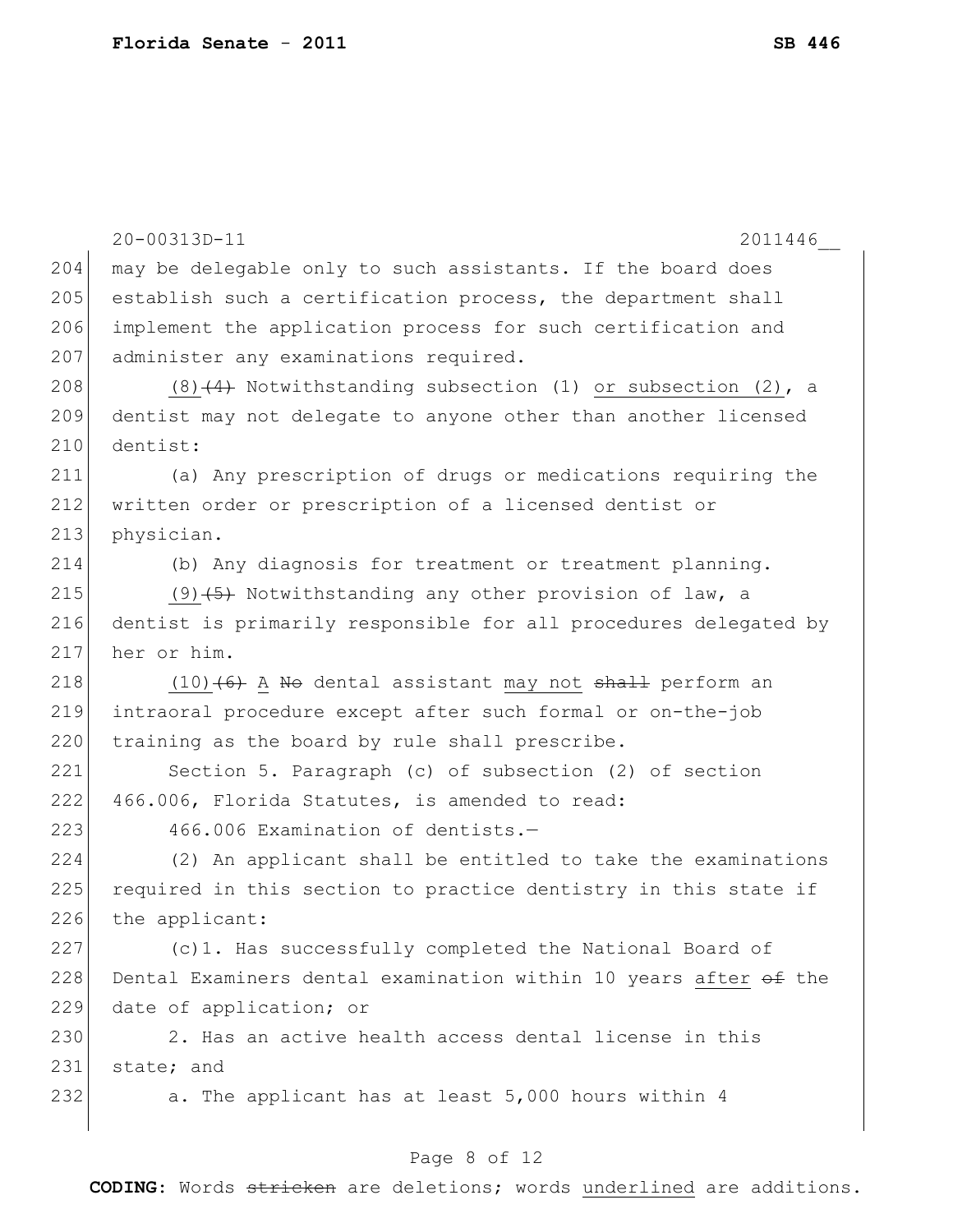20-00313D-11 2011446\_\_ 204 may be delegable only to such assistants. If the board does 205 establish such a certification process, the department shall 206 implement the application process for such certification and 207 administer any examinations required. 208 (8) $(4)$  Notwithstanding subsection (1) or subsection (2), a 209 dentist may not delegate to anyone other than another licensed 210 dentist: 211 (a) Any prescription of drugs or medications requiring the 212 written order or prescription of a licensed dentist or 213 physician. 214 (b) Any diagnosis for treatment or treatment planning. 215 (9)  $(5)$  Notwithstanding any other provision of law, a 216 dentist is primarily responsible for all procedures delegated by 217 her or him. 218  $(10)$   $(6)$  A No dental assistant may not shall perform an 219 intraoral procedure except after such formal or on-the-job  $220$  training as the board by rule shall prescribe. 221 Section 5. Paragraph (c) of subsection (2) of section 222 466.006, Florida Statutes, is amended to read:  $223$  466.006 Examination of dentists.  $-$ 224 (2) An applicant shall be entitled to take the examinations 225 required in this section to practice dentistry in this state if 226 the applicant: 227 (c)1. Has successfully completed the National Board of 228 Dental Examiners dental examination within 10 years after  $\theta$  the 229 date of application; or 230 2. Has an active health access dental license in this 231 state; and 232 a. The applicant has at least 5,000 hours within 4

#### Page 8 of 12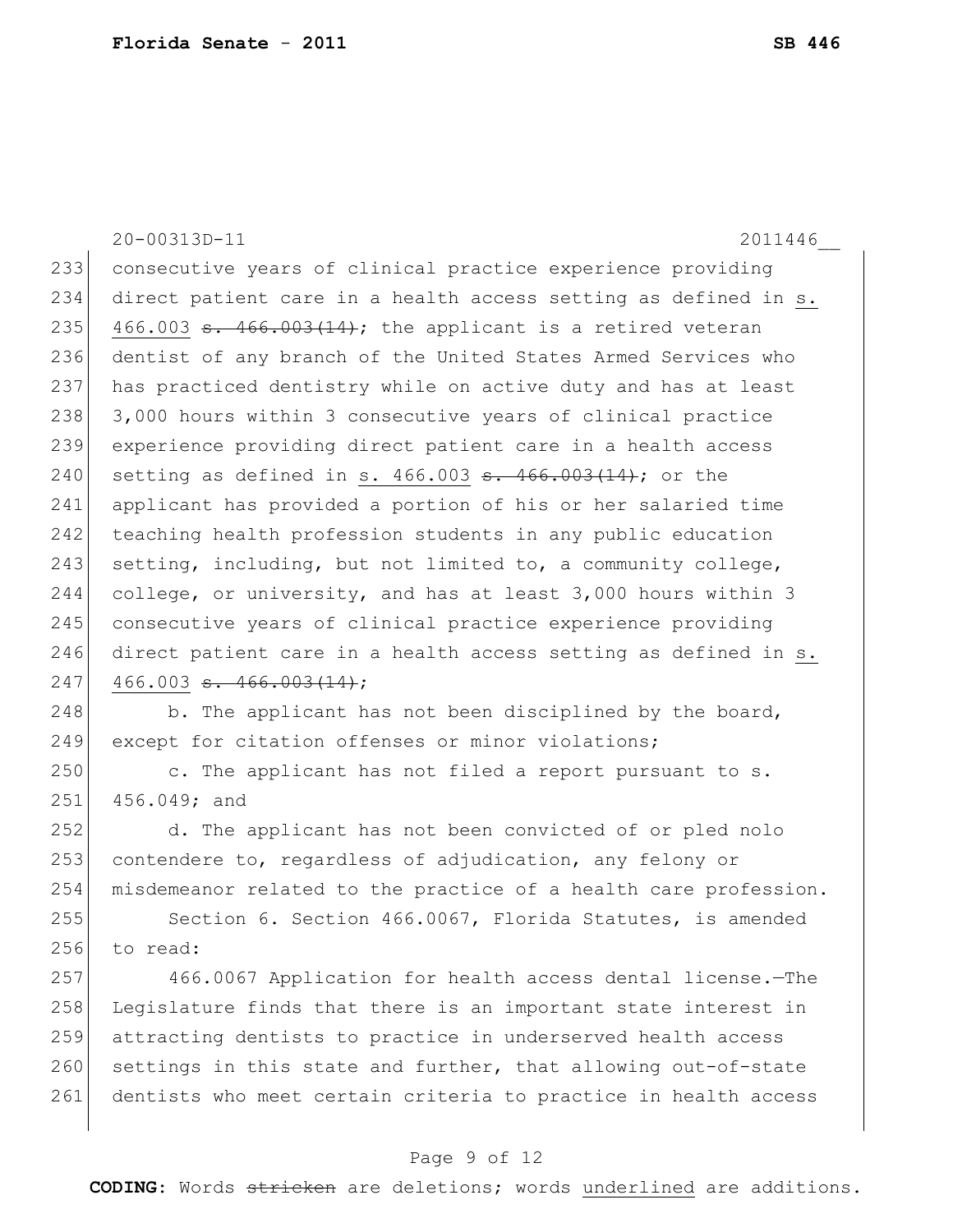20-00313D-11 2011446\_\_ 233 consecutive years of clinical practice experience providing 234 direct patient care in a health access setting as defined in s. 235 466.003  $\textbf{s}$ . 466.003 (14); the applicant is a retired veteran 236 dentist of any branch of the United States Armed Services who 237 has practiced dentistry while on active duty and has at least 238 3,000 hours within 3 consecutive years of clinical practice 239 experience providing direct patient care in a health access 240 setting as defined in s.  $466.003$  s.  $466.003(14)$ ; or the 241 applicant has provided a portion of his or her salaried time 242 teaching health profession students in any public education 243 setting, including, but not limited to, a community college, 244 college, or university, and has at least 3,000 hours within 3 245 consecutive years of clinical practice experience providing 246 direct patient care in a health access setting as defined in s.  $247$  466.003 <del>s. 466.003(14)</del>; 248 b. The applicant has not been disciplined by the board, 249 except for citation offenses or minor violations; 250 c. The applicant has not filed a report pursuant to s. 251 456.049; and 252 d. The applicant has not been convicted of or pled nolo 253 contendere to, regardless of adjudication, any felony or 254 misdemeanor related to the practice of a health care profession. 255 Section 6. Section 466.0067, Florida Statutes, is amended 256 to read:

257 466.0067 Application for health access dental license.—The 258 Legislature finds that there is an important state interest in 259 attracting dentists to practice in underserved health access 260 settings in this state and further, that allowing out-of-state 261 dentists who meet certain criteria to practice in health access

#### Page 9 of 12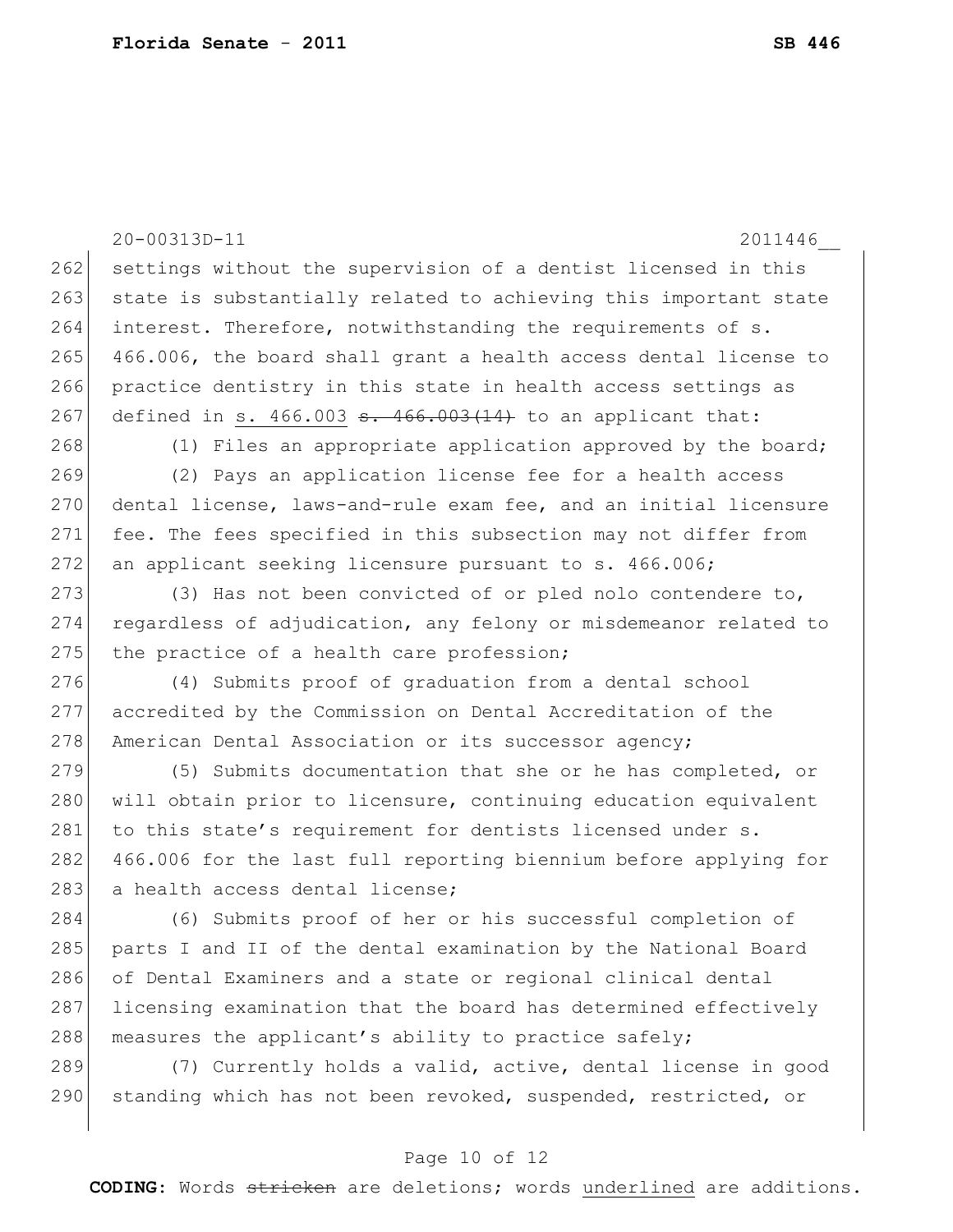20-00313D-11 2011446\_\_ 262 settings without the supervision of a dentist licensed in this 263 state is substantially related to achieving this important state 264 interest. Therefore, notwithstanding the requirements of s. 265 466.006, the board shall grant a health access dental license to 266 practice dentistry in this state in health access settings as 267 defined in s.  $466.003$   $\frac{1466.003(14)}{140.003(14)}$  to an applicant that: 268 (1) Files an appropriate application approved by the board; 269 (2) Pays an application license fee for a health access 270 dental license, laws-and-rule exam fee, and an initial licensure 271 fee. The fees specified in this subsection may not differ from 272 an applicant seeking licensure pursuant to s. 466.006; 273 (3) Has not been convicted of or pled nolo contendere to, 274 regardless of adjudication, any felony or misdemeanor related to 275 the practice of a health care profession; 276 (4) Submits proof of graduation from a dental school 277 accredited by the Commission on Dental Accreditation of the 278 American Dental Association or its successor agency; 279 (5) Submits documentation that she or he has completed, or 280 | will obtain prior to licensure, continuing education equivalent 281 to this state's requirement for dentists licensed under s. 282 466.006 for the last full reporting biennium before applying for 283 a health access dental license; 284 (6) Submits proof of her or his successful completion of 285 | parts I and II of the dental examination by the National Board 286 of Dental Examiners and a state or regional clinical dental 287 licensing examination that the board has determined effectively 288 measures the applicant's ability to practice safely; 289 (7) Currently holds a valid, active, dental license in good 290 standing which has not been revoked, suspended, restricted, or

#### Page 10 of 12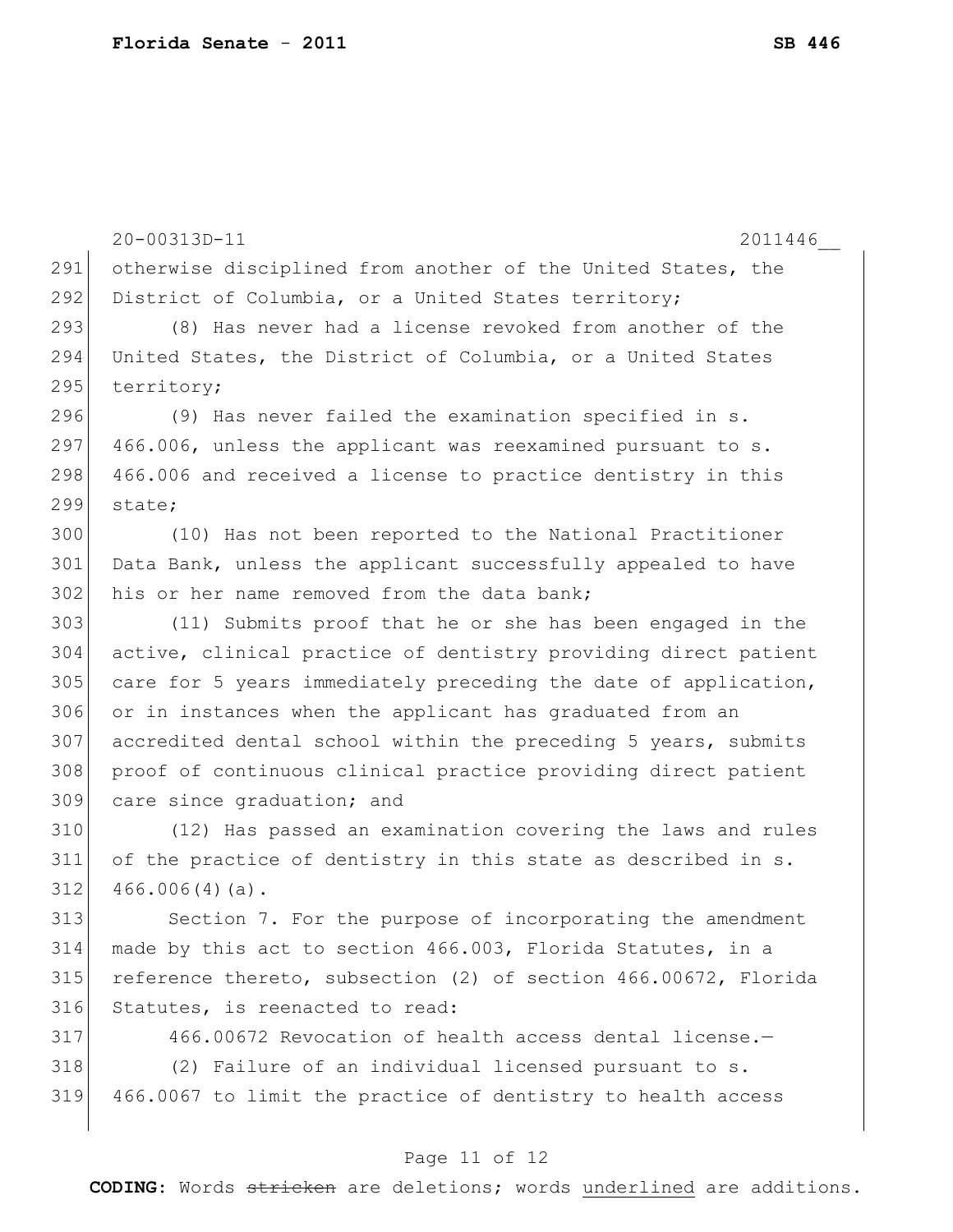|     | 20-00313D-11<br>2011446                                         |
|-----|-----------------------------------------------------------------|
| 291 | otherwise disciplined from another of the United States, the    |
| 292 | District of Columbia, or a United States territory;             |
| 293 | (8) Has never had a license revoked from another of the         |
| 294 | United States, the District of Columbia, or a United States     |
| 295 | territory;                                                      |
| 296 | (9) Has never failed the examination specified in s.            |
| 297 | 466.006, unless the applicant was reexamined pursuant to s.     |
| 298 | 466.006 and received a license to practice dentistry in this    |
| 299 | state;                                                          |
| 300 | (10) Has not been reported to the National Practitioner         |
| 301 | Data Bank, unless the applicant successfully appealed to have   |
| 302 | his or her name removed from the data bank;                     |
| 303 | (11) Submits proof that he or she has been engaged in the       |
| 304 | active, clinical practice of dentistry providing direct patient |
| 305 | care for 5 years immediately preceding the date of application, |
| 306 | or in instances when the applicant has graduated from an        |
| 307 | accredited dental school within the preceding 5 years, submits  |
| 308 | proof of continuous clinical practice providing direct patient  |
| 309 | care since graduation; and                                      |
| 310 | (12) Has passed an examination covering the laws and rules      |
| 311 | of the practice of dentistry in this state as described in s.   |
| 312 | $466.006(4)(a)$ .                                               |
| 313 | Section 7. For the purpose of incorporating the amendment       |
| 314 | made by this act to section 466.003, Florida Statutes, in a     |
| 315 | reference thereto, subsection (2) of section 466.00672, Florida |
| 316 | Statutes, is reenacted to read:                                 |
| 317 | 466.00672 Revocation of health access dental license.-          |
| 318 | (2) Failure of an individual licensed pursuant to s.            |
| 319 | 466.0067 to limit the practice of dentistry to health access    |
|     |                                                                 |

## Page 11 of 12